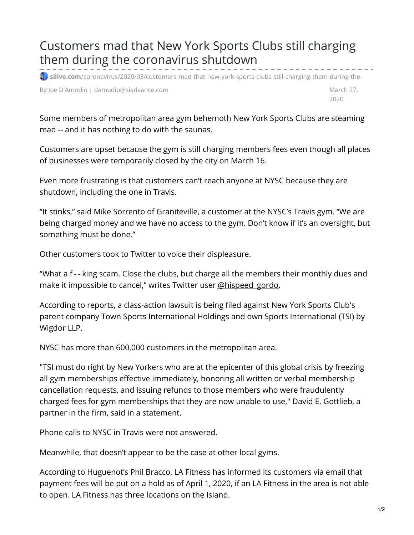## Customers mad that New York Sports Clubs still charging them during the coronavirus shutdown

 $\blacksquare$  silive.com[/coronavirus/2020/03/customers-mad-that-new-york-sports-clubs-still-charging-them-during-the-](https://www.silive.com/coronavirus/2020/03/customers-mad-that-new-york-sports-clubs-still-charging-them-during-the-coronavirus-shutdown.html)

By Joe D'Amodio | damodio@siadvance.com March 27, Narch 27, Narch 27, Narch 27, Narch 27, Narch 27, Narch 27, Narch 27, Narch 27, Narch 27, Narch 27, Narch 27, Narch 27, Narch 27, Narch 27, Narch 27, Narch 27, Narch 27, Na

2020

Some members of metropolitan area gym behemoth New York Sports Clubs are steaming mad -- and it has nothing to do with the saunas.

Customers are upset because the gym is still charging members fees even though all places of businesses were temporarily closed by the city on March 16.

Even more frustrating is that customers can't reach anyone at NYSC because they are shutdown, including the one in Travis.

"It stinks," said Mike Sorrento of Graniteville, a customer at the NYSC's Travis gym. "We are being charged money and we have no access to the gym. Don't know if it's an oversight, but something must be done."

Other customers took to Twitter to voice their displeasure.

"What a f - - king scam. Close the clubs, but charge all the members their monthly dues and make it impossible to cancel," writes Twitter user [@hispeed\\_gordo](https://twitter.com/hispeed_gordo/status/1243277648962490368?s=20).

According to reports, a class-action lawsuit is being filed against New York Sports Club's parent company Town Sports International Holdings and own Sports International (TSI) by Wigdor LLP.

NYSC has more than 600,000 customers in the metropolitan area.

"TSI must do right by New Yorkers who are at the epicenter of this global crisis by freezing all gym memberships effective immediately, honoring all written or verbal membership cancellation requests, and issuing refunds to those members who were fraudulently charged fees for gym memberships that they are now unable to use," David E. Gottlieb, a partner in the firm, said in a statement.

Phone calls to NYSC in Travis were not answered.

Meanwhile, that doesn't appear to be the case at other local gyms.

According to Huguenot's Phil Bracco, LA Fitness has informed its customers via email that payment fees will be put on a hold as of April 1, 2020, if an LA Fitness in the area is not able to open. LA Fitness has three locations on the Island.